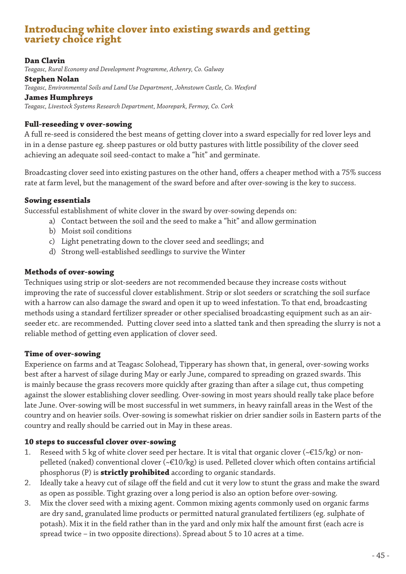# **Introducing white clover into existing swards and getting variety choice right**

## **Dan Clavin**

*Teagasc, Rural Economy and Development Programme, Athenry, Co. Galway*

#### **Stephen Nolan**

*Teagasc, Environmental Soils and Land Use Department, Johnstown Castle, Co. Wexford*

**James Humphreys**

*Teagasc, Livestock Systems Research Department, Moorepark, Fermoy, Co. Cork*

## **Full-reseeding v over-sowing**

A full re-seed is considered the best means of getting clover into a sward especially for red lover leys and in in a dense pasture eg. sheep pastures or old butty pastures with little possibility of the clover seed achieving an adequate soil seed-contact to make a "hit" and germinate.

Broadcasting clover seed into existing pastures on the other hand, offers a cheaper method with a 75% success rate at farm level, but the management of the sward before and after over-sowing is the key to success.

## **Sowing essentials**

Successful establishment of white clover in the sward by over-sowing depends on:

- a) Contact between the soil and the seed to make a "hit" and allow germination
- b) Moist soil conditions
- c) Light penetrating down to the clover seed and seedlings; and
- d) Strong well-established seedlings to survive the Winter

## **Methods of over-sowing**

Techniques using strip or slot-seeders are not recommended because they increase costs without improving the rate of successful clover establishment. Strip or slot seeders or scratching the soil surface with a harrow can also damage the sward and open it up to weed infestation. To that end, broadcasting methods using a standard fertilizer spreader or other specialised broadcasting equipment such as an airseeder etc. are recommended. Putting clover seed into a slatted tank and then spreading the slurry is not a reliable method of getting even application of clover seed.

# **Time of over-sowing**

Experience on farms and at Teagasc Solohead, Tipperary has shown that, in general, over-sowing works best after a harvest of silage during May or early June, compared to spreading on grazed swards. This is mainly because the grass recovers more quickly after grazing than after a silage cut, thus competing against the slower establishing clover seedling. Over-sowing in most years should really take place before late June. Over-sowing will be most successful in wet summers, in heavy rainfall areas in the West of the country and on heavier soils. Over-sowing is somewhat riskier on drier sandier soils in Eastern parts of the country and really should be carried out in May in these areas.

## **10 steps to successful clover over-sowing**

- 1. Reseed with 5 kg of white clover seed per hectare. It is vital that organic clover (~ $\epsilon$ 15/kg) or nonpelleted (naked) conventional clover (~€10/kg) is used. Pelleted clover which often contains artificial phosphorus (P) is **strictly prohibited** according to organic standards.
- 2. Ideally take a heavy cut of silage off the field and cut it very low to stunt the grass and make the sward as open as possible. Tight grazing over a long period is also an option before over-sowing.
- 3. Mix the clover seed with a mixing agent. Common mixing agents commonly used on organic farms are dry sand, granulated lime products or permitted natural granulated fertilizers (eg. sulphate of potash). Mix it in the field rather than in the yard and only mix half the amount first (each acre is spread twice – in two opposite directions). Spread about 5 to 10 acres at a time.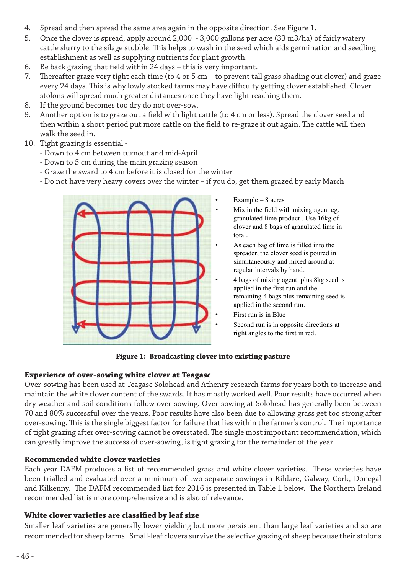- 4. Spread and then spread the same area again in the opposite direction. See Figure 1.
- 5. Once the clover is spread, apply around 2,000 3,000 gallons per acre (33 m3/ha) of fairly watery cattle slurry to the silage stubble. This helps to wash in the seed which aids germination and seedling establishment as well as supplying nutrients for plant growth.
- 6. Be back grazing that field within 24 days this is very important.
- 7. Thereafter graze very tight each time (to 4 or 5 cm to prevent tall grass shading out clover) and graze every 24 days. This is why lowly stocked farms may have difficulty getting clover established. Clover stolons will spread much greater distances once they have light reaching them.
- 8. If the ground becomes too dry do not over-sow.
- 9. Another option is to graze out a field with light cattle (to 4 cm or less). Spread the clover seed and then within a short period put more cattle on the field to re-graze it out again. The cattle will then walk the seed in.
- 10. Tight grazing is essential
	- Down to 4 cm between turnout and mid-April
	- Down to 4 cm between turnout and mid-April<br>- Down to 5 cm during the main grazing season
	- Graze the sward to 4 cm before it is closed for the winter
	- Graze the sward to 4 cm before it is closed for the winter<br>- Do not have very heavy covers over the winter if you do, get them grazed by early March



- $Example 8$  acres
- Mix in the field with mixing agent eg. granulated lime product . Use 16kg of clover and 8 bags of granulated lime in total.
- As each bag of lime is filled into the spreader, the clover seed is poured in simultaneously and mixed around at regular intervals by hand.
	- 4 bags of mixing agent plus 8kg seed is applied in the first run and the remaining 4 bags plus remaining seed is applied in the second run.
	- First run is in Blue
- Second run is in opposite directions at right angles to the first in red.

**Figure 1: Broadcasting clover into existing pasture** 

## **Experience of over-sowing white clover at Teagasc**

Over-sowing has been used at Teagasc Solohead and Athenry research farms for years both to increase and maintain the white clover content of the swards. It has mostly worked well. Poor results have occurred when dry weather and soil conditions follow over-sowing. Over-sowing at Solohead has generally been between 70 and 80% successful over the years. Poor results have also been due to allowing grass get too strong after over-sowing. This is the single biggest factor for failure that lies within the farmer's control. The importance of tight grazing after over-sowing cannot be overstated. The single most important recommendation, which can greatly improve the success of over-sowing, is tight grazing for the remainder of the year.

# **Recommended white clover varieties**

Each year DAFM produces a list of recommended grass and white clover varieties. These varieties have been trialled and evaluated over a minimum of two separate sowings in Kildare, Galway, Cork, Donegal and Kilkenny. The DAFM recommended list for 2016 is presented in Table 1 below. The Northern Ireland recommended list is more comprehensive and is also of relevance.

# **White clover varieties are classified by leaf size**

Smaller leaf varieties are generally lower yielding but more persistent than large leaf varieties and so are recommended for sheep farms. Small-leaf clovers survive the selective grazing of sheep because their stolons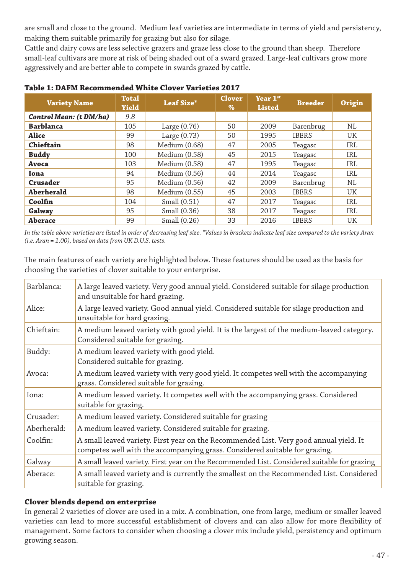are small and close to the ground. Medium leaf varieties are intermediate in terms of yield and persistency, making them suitable primarily for grazing but also for silage.

Cattle and dairy cows are less selective grazers and graze less close to the ground than sheep. Therefore small-leaf cultivars are more at risk of being shaded out of a sward grazed. Large-leaf cultivars grow more aggressively and are better able to compete in swards grazed by cattle.

| <b>Variety Name</b>     | <b>Total</b><br><b>Yield</b> | Leaf Size*     | <b>Clover</b><br>$\%$ | Year 1st<br><b>Listed</b> | <b>Breeder</b> | Origin |
|-------------------------|------------------------------|----------------|-----------------------|---------------------------|----------------|--------|
| Control Mean: (t DM/ha) | 9.8                          |                |                       |                           |                |        |
| <b>Barblanca</b>        | 105                          | Large $(0.76)$ | 50                    | 2009                      | Barenbrug      | NL     |
| <b>Alice</b>            | 99                           | Large $(0.73)$ | 50                    | 1995                      | <b>IBERS</b>   | UK     |
| Chieftain               | 98                           | Medium (0.68)  | 47                    | 2005                      | Teagasc        | IRL    |
| <b>Buddy</b>            | 100                          | Medium (0.58)  | 45                    | 2015                      | Teagasc        | IRL    |
| Avoca                   | 103                          | Medium (0.58)  | 47                    | 1995                      | Teagasc        | IRL    |
| Iona                    | 94                           | Medium (0.56)  | 44                    | 2014                      | Teagasc        | IRL    |
| Crusader                | 95                           | Medium (0.56)  | 42                    | 2009                      | Barenbrug      | NL     |
| <b>Aberherald</b>       | 98                           | Medium (0.55)  | 45                    | 2003                      | <b>IBERS</b>   | UK     |
| Coolfin                 | 104                          | Small (0.51)   | 47                    | 2017                      | Teagasc        | IRL    |
| Galway                  | 95                           | Small (0.36)   | 38                    | 2017                      | Teagasc        | IRL    |
| <b>Aberace</b>          | 99                           | Small (0.26)   | 33                    | 2016                      | <b>IBERS</b>   | UK     |

#### **Table 1: DAFM Recommended White Clover Varieties 2017**

*In the table above varieties are listed in order of decreasing leaf size. \*Values in brackets indicate leaf size compared to the variety Aran (i.e. Aran = 1.00), based on data from UK D.U.S. tests.*

The main features of each variety are highlighted below. These features should be used as the basis for choosing the varieties of clover suitable to your enterprise.

| Barblanca:  | A large leaved variety. Very good annual yield. Considered suitable for silage production<br>and unsuitable for hard grazing.                                         |  |  |  |
|-------------|-----------------------------------------------------------------------------------------------------------------------------------------------------------------------|--|--|--|
| Alice:      | A large leaved variety. Good annual yield. Considered suitable for silage production and<br>unsuitable for hard grazing.                                              |  |  |  |
| Chieftain:  | A medium leaved variety with good yield. It is the largest of the medium-leaved category.<br>Considered suitable for grazing.                                         |  |  |  |
| Buddy:      | A medium leaved variety with good yield.<br>Considered suitable for grazing.                                                                                          |  |  |  |
| Avoca:      | A medium leaved variety with very good yield. It competes well with the accompanying<br>grass. Considered suitable for grazing.                                       |  |  |  |
| Iona:       | A medium leaved variety. It competes well with the accompanying grass. Considered<br>suitable for grazing.                                                            |  |  |  |
| Crusader:   | A medium leaved variety. Considered suitable for grazing                                                                                                              |  |  |  |
| Aberherald: | A medium leaved variety. Considered suitable for grazing.                                                                                                             |  |  |  |
| Coolfin:    | A small leaved variety. First year on the Recommended List. Very good annual yield. It<br>competes well with the accompanying grass. Considered suitable for grazing. |  |  |  |
| Galway      | A small leaved variety. First year on the Recommended List. Considered suitable for grazing                                                                           |  |  |  |
| Aberace:    | A small leaved variety and is currently the smallest on the Recommended List. Considered<br>suitable for grazing.                                                     |  |  |  |

# **Clover blends depend on enterprise**

In general 2 varieties of clover are used in a mix. A combination, one from large, medium or smaller leaved varieties can lead to more successful establishment of clovers and can also allow for more flexibility of management. Some factors to consider when choosing a clover mix include yield, persistency and optimum growing season.